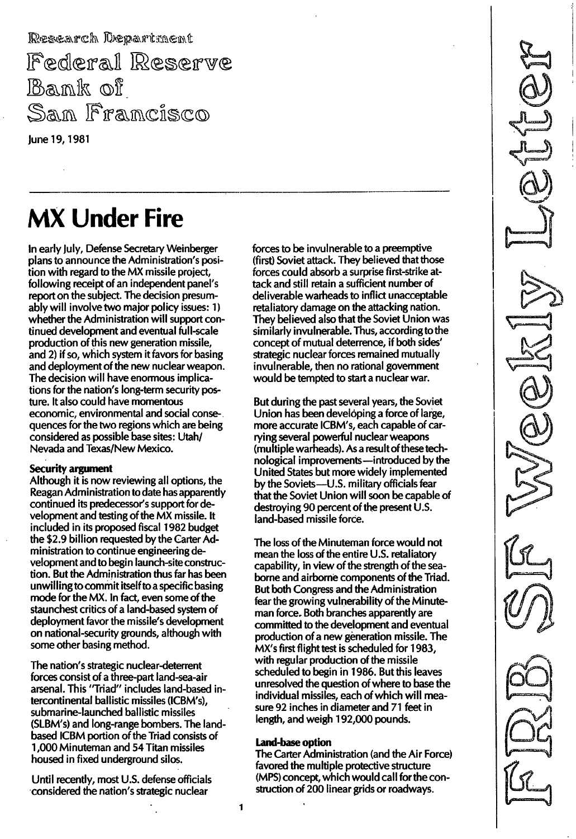Research Department Federal Reserve  $\mathbb B$ ank of Sam Framcisco June 19, 1981

## **MX Under Fire**

In early July, Defense Secretary Weinberger plans to announce the Administration's position with regard to the MX missile project, following receipt of an independent panel's report on the subject. The decision presumably will involve two major policy issues: 1) whether the Administration will support continued development and eventual full-scale production of this new generation missile, and 2) if so, which system it favors for basing and deployment of the new nuclear weapon. The decision will have enormous implications for the nation's long-term security posture. It also could have momentous economic, environmental and social consequences for the two regions which are being considered as possible base sites: Utah/ Nevada and Texas/New Mexico.

#### Security argument

Although it is now reviewing all options, the Reagan Administration to date has apparently continued its predecessor's support for development and testing of the MX missile. It included in its proposed fiscal 1982 budget the \$2.9 billion requested by the Carter Administration to continue engineering development and to begin launch-site construction. But the Administration thus far has been unwillingto commit itself to a specific basing mode for the MX. In fact, even some of the staunchest critics of a land-based system of deployment favor the missile's development on national-security grounds, although with some other basing method.

The nation's strategic nuclear-deterrent forces consist of a three-part land-sea-air arsenal. This " Triad" includes land-based intercontinental ballistic missiles (ICBM's), submarine-launched ballistic missiles (SLBM's) and long-range bombers. The landbased ICBM portion of the Triad consists of 1 ,000 Minuteman and 54 Titan missiles housed in fixed underground silos.

Until recently, most U.S. defense officials considered the nation's strategic nuclear

forces to be invulnerable to a preemptive (first) Soviet attack. They believed that those forces could absorb a surprise first-strike attack and still retain a sufficient number of deliverable warheads to inflict unacceptable retaliatory damage on the attacking nation. They believed also that the Soviet Union was similarly invulnerable. Thus, according to the concept of mutual deterrence, if both sides' strategic nuclear forces remained mutually invulnerable, then no rational government would be tempted to start a nuclear war.

But during the past several years, the Soviet Union has been developing a force of large, more accurate ICBM's, each capable of carrying several powerful nuclear weapons (multiple warheads). As a result of these technological improvements-introduced by the United States but more widely implemented by the Soviets-U.S. military officials fear that the Soviet Union will soon be capable of destroying 90 percent of the present U.S. land-based missile force.

The loss of the Minuteman force would not mean the loss of the entire U.S. retaliatory capability, in view of the strength of the seaborne and airborne components of the Triad. But both Congress and the Administration fear the growing vulnerability of the Minuteman force. Both branches apparently are committed to the development and eventual production of a new generation missile. The MX's first flight test is scheduled for 1983, with regular production of the missile scheduled to begin in 1 986. But this leaves unresolved the question of where to base the individual missiles, each of which will measure 92 inches in diameter and 71 feet in length, and weigh 192,000 pounds.

#### land-base option

The Carter Administration (and the Air Force) favored the multiple protective structure (MPS) concept, which would call for the construction of 200 linear grids or roadways.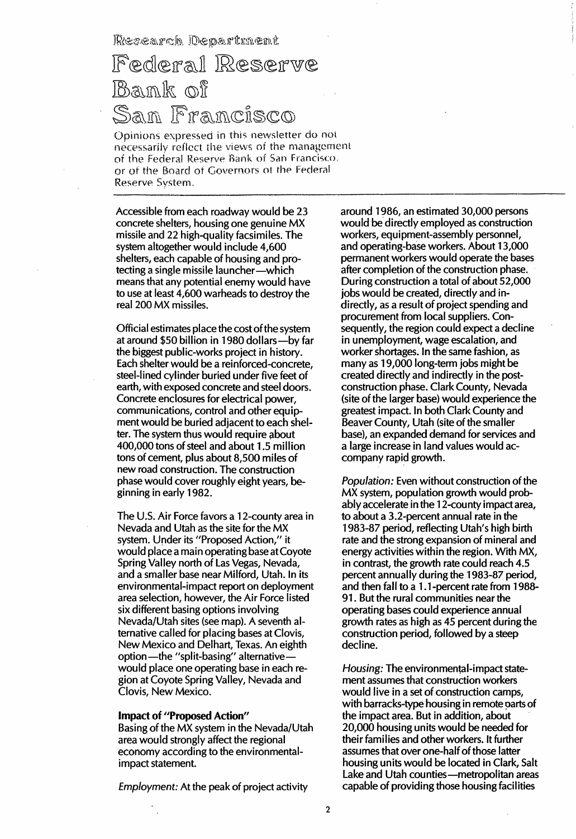Research Department

## Federal Reserve Bank of San Francisco

Opinions expressed in this newsletter do not necessarily reflect the views of the management of the Federal Reserve Bank of San Francisco. or of the Board of Governors ot the Federal Reserve System.

Accessible from each roadway would be 23 concrete shelters, housing one genuine M X missile and 22 high-quality facsimiles. The system altogether would include 4,600 shelters, each capable of housing and protecting a single missile launcher-which means that any potential enemy would have to use at least 4,600 warheads to destroy the real 200 MX missiles.

Official estimates place the cost of the system at around \$50 billion in 1980 dollars-by far the biggest public-works project in history. Each shelter would be a reinforced-concrete, steel-lined cylinder buried under five feet of earth, with exposed concrete and steel doors. Concrete enclosures for electrical power, communications, control and other equipment would be buried adjacent to each shelter. The system thus would require 400,000 tons of steel and about 1.5 million tons of cement, plus about 8,500 miles of new road construction. The construction phase would cover roughly eight years, beginning in early 1982.

The U.S. Air Force favors a 12-county area in Nevada and Utah as the site for the MX system. Under its "Proposed Action," it would place a main operating base at Coyote Spring Valley north of Las Vegas, Nevada, and a smaller base near Milford, Utah. In its environmental-impact report on deployment area selection, however, the Air Force listed six different basing options involving Nevada/Utah sites (see map). A seventh alternative called for placing bases at Clovis, New Mexico and Delhart, Texas. An eighth option-the "split-basing" alternativewould place one operating base in each region at Coyote Spring Valley, Nevada and Clovis, New Mexico.

#### Impact of "Proposed Action"

Basing of the MX system in the Nevada/Utah area would strongly affect the regional economy according to the environmentalimpact statement.

Employment: At the peak of project activity

around 1 986, an estimated 30,000 persons would be directly employed as construction workers, equipment-assembly personnel, and operating-base workers. About 13,000 permanent workers would operate the bases after completion of the construction phase. During construction a total of about 52,000 jobs would be created, directly and indirectly, as a result of project spending and procurement from local suppliers. Consequently, the region could expect a decline in unemployment, wage escalation, and worker shortages. In the same fashion, as many as 19,000 long-term jobs might be created directly and indirectly in the postconstruction phase. Clark County, Nevada (site of the larger base) would experience the greatest impact. In both Clark County and Beaver County, Utah (site of the smaller base), an expanded demand for services and a large increase in land values would accompany rapid growth.

Population: Even without construction of the MX system, population growth would probably accelerate in the 1 2-county impact area, to about a 3.2-percent annual rate in the 1 983-87 period, reflecting Utah's high birth rate and the strong expansion of mineral and energy activities within the region. With MX, in contrast, the growth rate could reach 4.5 percent annually during the 1 983-87 period, and then fall to a 1.1-percent rate from 1988-91. But the rural communities near the operating bases could experience annual growth rates as high as 45 percent during the construction period, followed by a steep decline.

Housing: The environmental-impact statement assumes that construction workers would live in a set of construction camps, with barracks-type housing in remote parts of the impact area. But in addition, about 20,000 housing units would be needed for their families and other workers. It further assumes that over one-half of those latter housing units would be located in Clark, Salt Lake and Utah counties-metropolitan areas capable of providing those housing facilities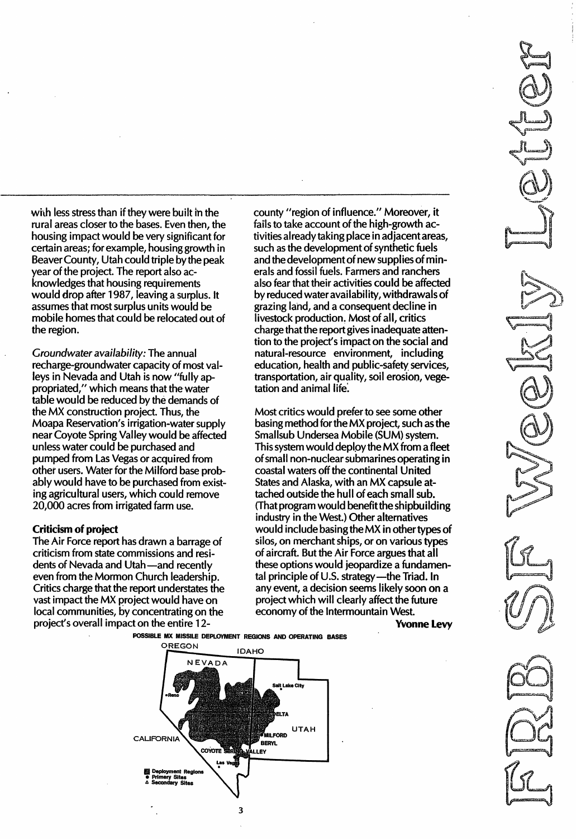with less stress than if they were built in the rural areas closer to the bases. Even then, the housing impact would be very significant for certain areas; for example, housing growth in Beaver County, Utah could triple by the peak year of the project. The report also acknowledges that housing requirements would drop after 1 987, leaving a surplus. It assumes that most surplus units would be mobile homes that could be relocated out of the region.

Groundwater availability:The annual recharge-groundwater capacity of most valleys in Nevada and Utah is now "fully appropriated," which means that the water table would be reduced by the demands of the MX construction project. Thus, the Moapa Reservation's irrigation-water supply near Coyote Spring Valley would be affected unless water could be purchased and pumped from Las Vegas or acquired from other users. Water for the Milford base probably would have to be purchased from existing agricultural users, which could remove 20,000 acres from irrigated farm use.

#### Criticism of project

The Air Force report has drawn a barrage of criticism from state commissions and residents of Nevada and Utah-and recently even from the Mormon Church leadership. Critics charge that the report understates the vast impact the MX project would have on local communities, by concentrating on the project's overall impact on the entire 12county "region of influence." Moreover, it fails to take account of the high-growth activities already taking place in adjacent areas, such as the development of synthetic fuels and the development of new supplies of minerals and fossil fuels. Farmers and ranchers also fear that their activities could be affected by reduced water availability, withdrawals of grazing land, and a consequent decline in livestock production. Most of all, critics charge that the report gives inadequate attention to the project's impact on the social and natural-resource environment, including education, health and public-safety services, transportation, air quality, soil erosion, vegetation and animal life.

. \_- - - - - - - - - - - - - - - - - \_.

Most critics would prefer to see some other basing method for the MX project, such as the Smallsub Undersea Mobile (SUM) system. This system would deploy the MX from a fleet of small non-nuclear submarines operating in coastal waters off the continental United States and Alaska, with an MX capsule attached outside the hull of each small sub. (That program would benefit the shipbuilding industry in the West.) Other alternatives would include basing the MX in other types of silos, on merchant ships, or on various types of aircraft. But the Air Force argues that all these options would jeopardize a fundamental principle of U.S. strategy-the Triad. In any event, a decision seems likely soon on a project which will clearly affect the future economy of the Intermountain West.

Yvonne levy